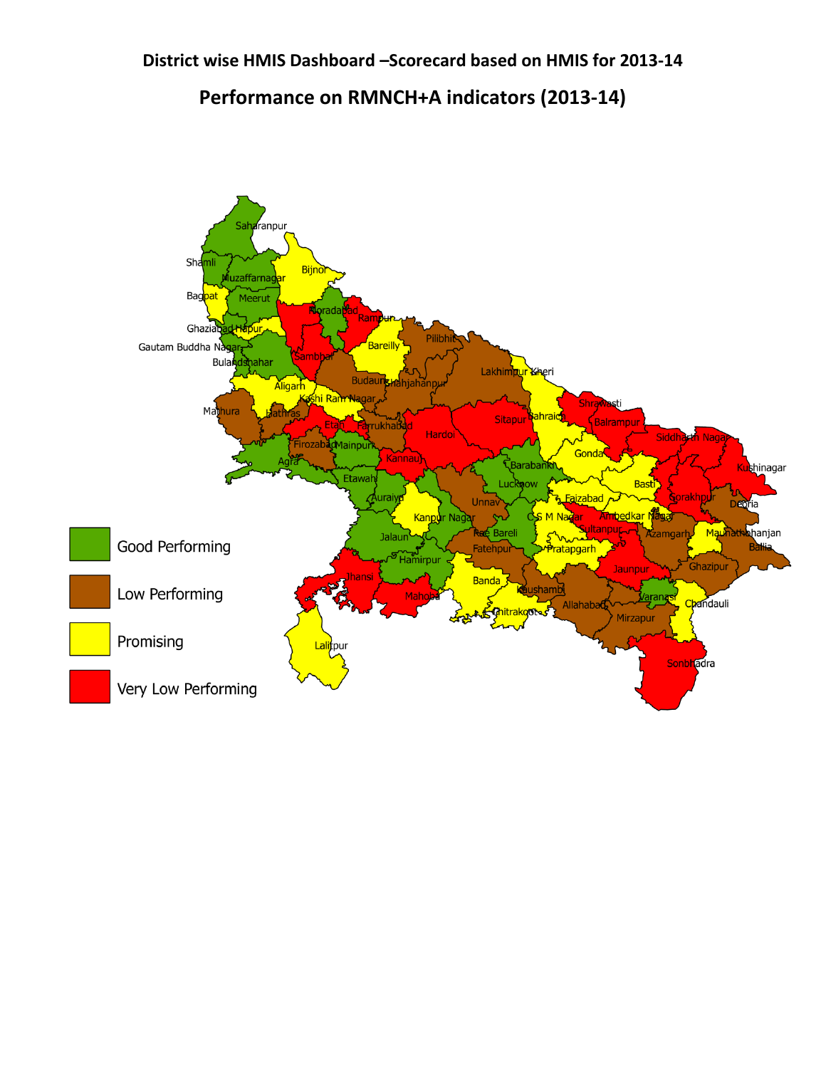## **District wise HMIS Dashboard –Scorecard based on HMIS for 2013-14**

## **Performance on RMNCH+A indicators (2013-14)**

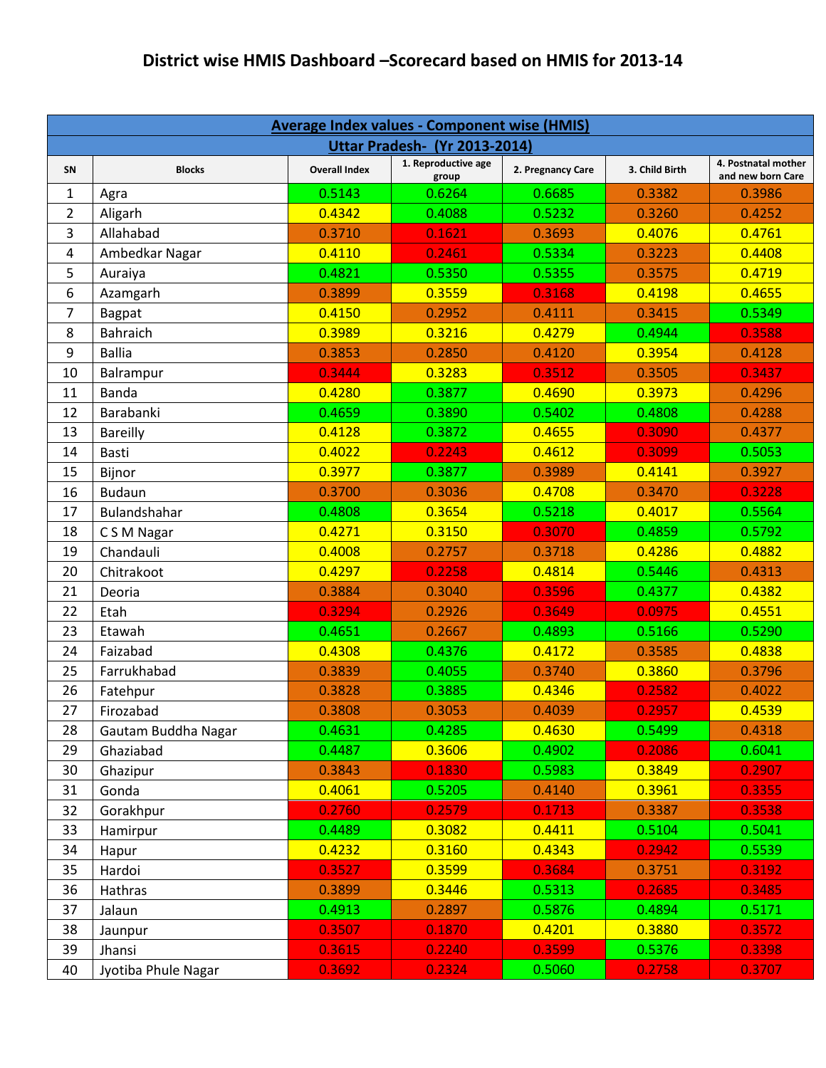## **District wise HMIS Dashboard –Scorecard based on HMIS for 2013-14**

| <b>Average Index values - Component wise (HMIS)</b> |                     |                      |                              |                   |                |                                          |  |  |
|-----------------------------------------------------|---------------------|----------------------|------------------------------|-------------------|----------------|------------------------------------------|--|--|
| <b>Uttar Pradesh- (Yr 2013-2014)</b>                |                     |                      |                              |                   |                |                                          |  |  |
| SN                                                  | <b>Blocks</b>       | <b>Overall Index</b> | 1. Reproductive age<br>group | 2. Pregnancy Care | 3. Child Birth | 4. Postnatal mother<br>and new born Care |  |  |
| 1                                                   | Agra                | 0.5143               | 0.6264                       | 0.6685            | 0.3382         | 0.3986                                   |  |  |
| $\overline{2}$                                      | Aligarh             | 0.4342               | 0.4088                       | 0.5232            | 0.3260         | 0.4252                                   |  |  |
| 3                                                   | Allahabad           | 0.3710               | 0.1621                       | 0.3693            | 0.4076         | 0.4761                                   |  |  |
| 4                                                   | Ambedkar Nagar      | 0.4110               | 0.2461                       | 0.5334            | 0.3223         | 0.4408                                   |  |  |
| 5                                                   | Auraiya             | 0.4821               | 0.5350                       | 0.5355            | 0.3575         | 0.4719                                   |  |  |
| 6                                                   | Azamgarh            | 0.3899               | 0.3559                       | 0.3168            | 0.4198         | 0.4655                                   |  |  |
| 7                                                   | <b>Bagpat</b>       | 0.4150               | 0.2952                       | 0.4111            | 0.3415         | 0.5349                                   |  |  |
| 8                                                   | <b>Bahraich</b>     | 0.3989               | 0.3216                       | 0.4279            | 0.4944         | 0.3588                                   |  |  |
| 9                                                   | <b>Ballia</b>       | 0.3853               | 0.2850                       | 0.4120            | 0.3954         | 0.4128                                   |  |  |
| 10                                                  | Balrampur           | 0.3444               | 0.3283                       | 0.3512            | 0.3505         | 0.3437                                   |  |  |
| 11                                                  | Banda               | 0.4280               | 0.3877                       | 0.4690            | 0.3973         | 0.4296                                   |  |  |
| 12                                                  | Barabanki           | 0.4659               | 0.3890                       | 0.5402            | 0.4808         | 0.4288                                   |  |  |
| 13                                                  | <b>Bareilly</b>     | 0.4128               | 0.3872                       | 0.4655            | 0.3090         | 0.4377                                   |  |  |
| 14                                                  | <b>Basti</b>        | 0.4022               | 0.2243                       | 0.4612            | 0.3099         | 0.5053                                   |  |  |
| 15                                                  | Bijnor              | 0.3977               | 0.3877                       | 0.3989            | 0.4141         | 0.3927                                   |  |  |
| 16                                                  | <b>Budaun</b>       | 0.3700               | 0.3036                       | 0.4708            | 0.3470         | 0.3228                                   |  |  |
| 17                                                  | Bulandshahar        | 0.4808               | 0.3654                       | 0.5218            | 0.4017         | 0.5564                                   |  |  |
| 18                                                  | C S M Nagar         | 0.4271               | 0.3150                       | 0.3070            | 0.4859         | 0.5792                                   |  |  |
| 19                                                  | Chandauli           | 0.4008               | 0.2757                       | 0.3718            | 0.4286         | 0.4882                                   |  |  |
| 20                                                  | Chitrakoot          | 0.4297               | 0.2258                       | 0.4814            | 0.5446         | 0.4313                                   |  |  |
| 21                                                  | Deoria              | 0.3884               | 0.3040                       | 0.3596            | 0.4377         | 0.4382                                   |  |  |
| 22                                                  | Etah                | 0.3294               | 0.2926                       | 0.3649            | 0.0975         | 0.4551                                   |  |  |
| 23                                                  | Etawah              | 0.4651               | 0.2667                       | 0.4893            | 0.5166         | 0.5290                                   |  |  |
| 24                                                  | Faizabad            | 0.4308               | 0.4376                       | 0.4172            | 0.3585         | 0.4838                                   |  |  |
| 25                                                  | Farrukhabad         | 0.3839               | 0.4055                       | 0.3740            | 0.3860         | 0.3796                                   |  |  |
| 26                                                  | Fatehpur            | 0.3828               | 0.3885                       | 0.4346            | 0.2582         | 0.4022                                   |  |  |
| 27                                                  | Firozabad           | 0.3808               | 0.3053                       | 0.4039            | 0.2957         | 0.4539                                   |  |  |
| 28                                                  | Gautam Buddha Nagar | 0.4631               | 0.4285                       | 0.4630            | 0.5499         | 0.4318                                   |  |  |
| 29                                                  | Ghaziabad           | 0.4487               | 0.3606                       | 0.4902            | 0.2086         | 0.6041                                   |  |  |
| 30                                                  | Ghazipur            | 0.3843               | 0.1830                       | 0.5983            | 0.3849         | 0.2907                                   |  |  |
| 31                                                  | Gonda               | 0.4061               | 0.5205                       | 0.4140            | 0.3961         | 0.3355                                   |  |  |
| 32                                                  | Gorakhpur           | 0.2760               | 0.2579                       | 0.1713            | 0.3387         | 0.3538                                   |  |  |
| 33                                                  | Hamirpur            | 0.4489               | 0.3082                       | 0.4411            | 0.5104         | 0.5041                                   |  |  |
| 34                                                  | Hapur               | 0.4232               | 0.3160                       | 0.4343            | 0.2942         | 0.5539                                   |  |  |
| 35                                                  | Hardoi              | 0.3527               | 0.3599                       | 0.3684            | 0.3751         | 0.3192                                   |  |  |
| 36                                                  | Hathras             | 0.3899               | 0.3446                       | 0.5313            | 0.2685         | 0.3485                                   |  |  |
| 37                                                  | Jalaun              | 0.4913               | 0.2897                       | 0.5876            | 0.4894         | 0.5171                                   |  |  |
| 38                                                  | Jaunpur             | 0.3507               | 0.1870                       | 0.4201            | 0.3880         | 0.3572                                   |  |  |
| 39                                                  | Jhansi              | 0.3615               | 0.2240                       | 0.3599            | 0.5376         | 0.3398                                   |  |  |
| 40                                                  | Jyotiba Phule Nagar | 0.3692               | 0.2324                       | 0.5060            | 0.2758         | 0.3707                                   |  |  |